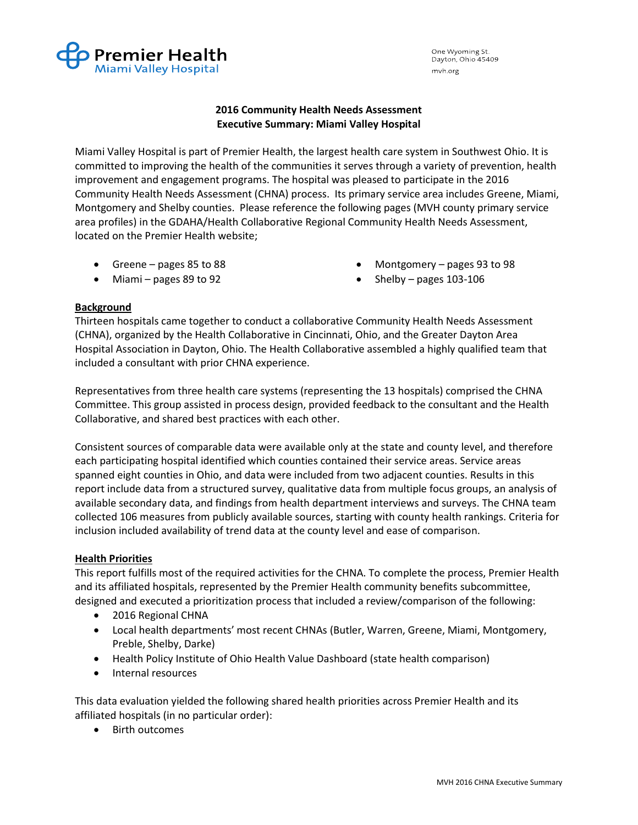

One Wyoming St. Dayton, Ohio 45409 mvh.org

## 2016 Community Health Needs Assessment Executive Summary: Miami Valley Hospital

Miami Valley Hospital is part of Premier Health, the largest health care system in Southwest Ohio. It is committed to improving the health of the communities it serves through a variety of prevention, health improvement and engagement programs. The hospital was pleased to participate in the 2016 Community Health Needs Assessment (CHNA) process. Its primary service area includes Greene, Miami, Montgomery and Shelby counties. Please reference the following pages (MVH county primary service area profiles) in the GDAHA/Health Collaborative Regional Community Health Needs Assessment, located on the Premier Health website;

- Greene pages 85 to 88
- Miami pages 89 to 92
- Montgomery pages 93 to 98
- Shelby pages  $103-106$

## Background

Thirteen hospitals came together to conduct a collaborative Community Health Needs Assessment (CHNA), organized by the Health Collaborative in Cincinnati, Ohio, and the Greater Dayton Area Hospital Association in Dayton, Ohio. The Health Collaborative assembled a highly qualified team that included a consultant with prior CHNA experience.

Representatives from three health care systems (representing the 13 hospitals) comprised the CHNA Committee. This group assisted in process design, provided feedback to the consultant and the Health Collaborative, and shared best practices with each other.

Consistent sources of comparable data were available only at the state and county level, and therefore each participating hospital identified which counties contained their service areas. Service areas spanned eight counties in Ohio, and data were included from two adjacent counties. Results in this report include data from a structured survey, qualitative data from multiple focus groups, an analysis of available secondary data, and findings from health department interviews and surveys. The CHNA team collected 106 measures from publicly available sources, starting with county health rankings. Criteria for inclusion included availability of trend data at the county level and ease of comparison.

## Health Priorities

This report fulfills most of the required activities for the CHNA. To complete the process, Premier Health and its affiliated hospitals, represented by the Premier Health community benefits subcommittee, designed and executed a prioritization process that included a review/comparison of the following:

- 2016 Regional CHNA
- Local health departments' most recent CHNAs (Butler, Warren, Greene, Miami, Montgomery, Preble, Shelby, Darke)
- Health Policy Institute of Ohio Health Value Dashboard (state health comparison)
- Internal resources

This data evaluation yielded the following shared health priorities across Premier Health and its affiliated hospitals (in no particular order):

Birth outcomes